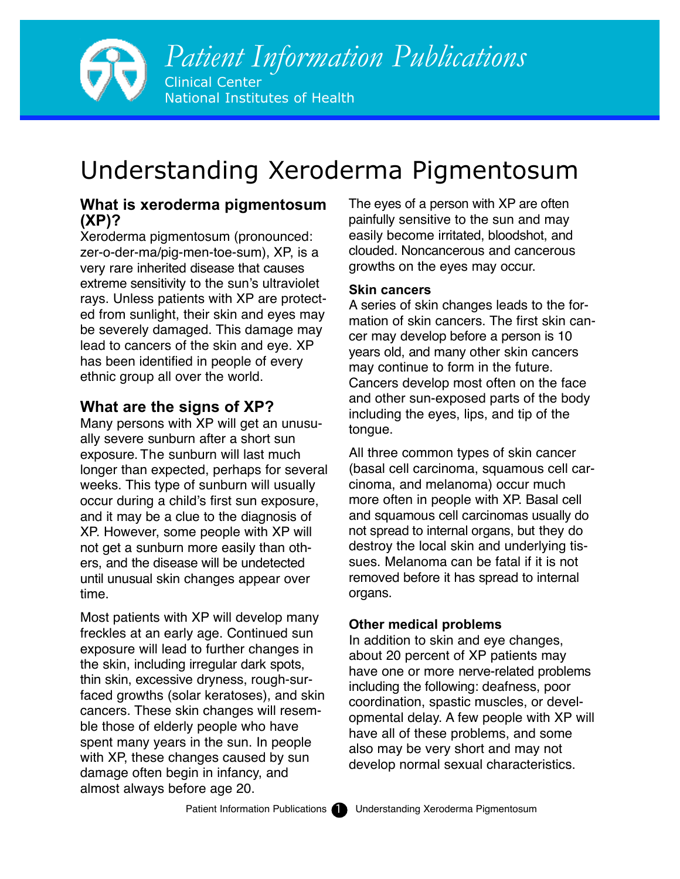

# Understanding Xeroderma Pigmentosum

# **What is xeroderma pigmentosum (XP)?**

Xeroderma pigmentosum (pronounced: zer-o-der-ma/pig-men-toe-sum), XP, is a very rare inherited disease that causes extreme sensitivity to the sun's ultraviolet rays. Unless patients with XP are protected from sunlight, their skin and eyes may be severely damaged. This damage may lead to cancers of the skin and eye. XP has been identified in people of every ethnic group all over the world.

# **What are the signs of XP?**

Many persons with XP will get an unusually severe sunburn after a short sun exposure. The sunburn will last much longer than expected, perhaps for several weeks. This type of sunburn will usually occur during a child's first sun exposure, and it may be a clue to the diagnosis of XP. However, some people with XP will not get a sunburn more easily than others, and the disease will be undetected until unusual skin changes appear over time.

Most patients with XP will develop many freckles at an early age. Continued sun exposure will lead to further changes in the skin, including irregular dark spots, thin skin, excessive dryness, rough-surfaced growths (solar keratoses), and skin cancers. These skin changes will resemble those of elderly people who have spent many years in the sun. In people with XP, these changes caused by sun damage often begin in infancy, and almost always before age 20.

The eyes of a person with XP are often painfully sensitive to the sun and may easily become irritated, bloodshot, and clouded. Noncancerous and cancerous growths on the eyes may occur.

#### **Skin cancers**

A series of skin changes leads to the formation of skin cancers. The first skin cancer may develop before a person is 10 years old, and many other skin cancers may continue to form in the future. Cancers develop most often on the face and other sun-exposed parts of the body including the eyes, lips, and tip of the tongue.

All three common types of skin cancer (basal cell carcinoma, squamous cell carcinoma, and melanoma) occur much more often in people with XP. Basal cell and squamous cell carcinomas usually do not spread to internal organs, but they do destroy the local skin and underlying tissues. Melanoma can be fatal if it is not removed before it has spread to internal organs.

#### **Other medical problems**

In addition to skin and eye changes, about 20 percent of XP patients may have one or more nerve-related problems including the following: deafness, poor coordination, spastic muscles, or developmental delay. A few people with XP will have all of these problems, and some also may be very short and may not develop normal sexual characteristics.

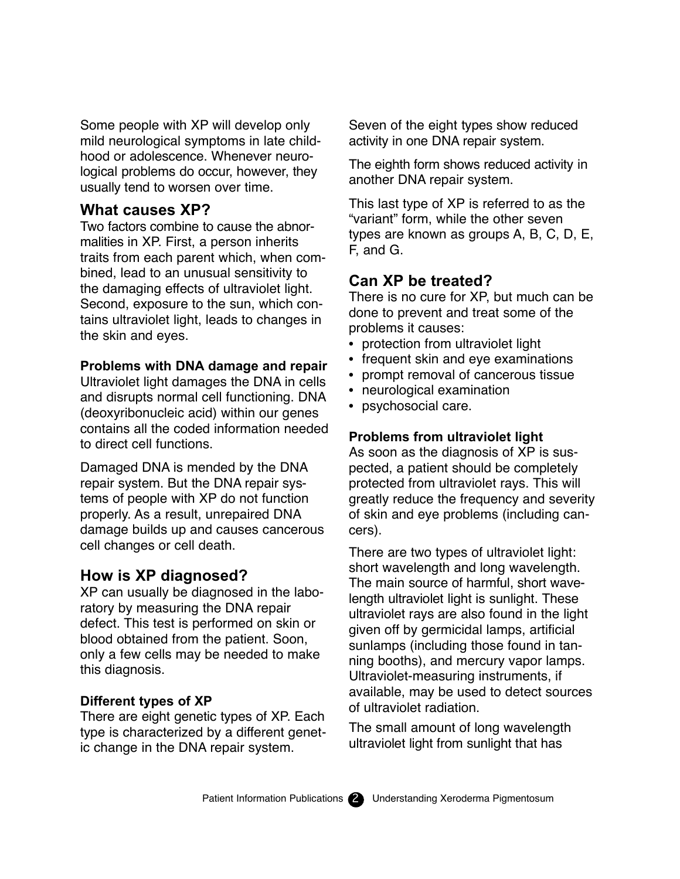Some people with XP will develop only mild neurological symptoms in late childhood or adolescence. Whenever neurological problems do occur, however, they usually tend to worsen over time.

## **What causes XP?**

Two factors combine to cause the abnormalities in XP. First, a person inherits traits from each parent which, when combined, lead to an unusual sensitivity to the damaging effects of ultraviolet light. Second, exposure to the sun, which contains ultraviolet light, leads to changes in the skin and eyes.

#### **Problems with DNA damage and repair**

Ultraviolet light damages the DNA in cells and disrupts normal cell functioning. DNA (deoxyribonucleic acid) within our genes contains all the coded information needed to direct cell functions.

Damaged DNA is mended by the DNA repair system. But the DNA repair systems of people with XP do not function properly. As a result, unrepaired DNA damage builds up and causes cancerous cell changes or cell death.

## **How is XP diagnosed?**

XP can usually be diagnosed in the laboratory by measuring the DNA repair defect. This test is performed on skin or blood obtained from the patient. Soon, only a few cells may be needed to make this diagnosis.

#### **Different types of XP**

There are eight genetic types of XP. Each type is characterized by a different genetic change in the DNA repair system.

Seven of the eight types show reduced activity in one DNA repair system.

The eighth form shows reduced activity in another DNA repair system.

This last type of XP is referred to as the "variant" form, while the other seven types are known as groups A, B, C, D, E, F, and G.

# **Can XP be treated?**

There is no cure for XP, but much can be done to prevent and treat some of the problems it causes:

- protection from ultraviolet light
- frequent skin and eye examinations
- prompt removal of cancerous tissue
- neurological examination
- psychosocial care.

#### **Problems from ultraviolet light**

As soon as the diagnosis of XP is suspected, a patient should be completely protected from ultraviolet rays. This will greatly reduce the frequency and severity of skin and eye problems (including cancers).

There are two types of ultraviolet light: short wavelength and long wavelength. The main source of harmful, short wavelength ultraviolet light is sunlight. These ultraviolet rays are also found in the light given off by germicidal lamps, artificial sunlamps (including those found in tanning booths), and mercury vapor lamps. Ultraviolet-measuring instruments, if available, may be used to detect sources of ultraviolet radiation.

The small amount of long wavelength ultraviolet light from sunlight that has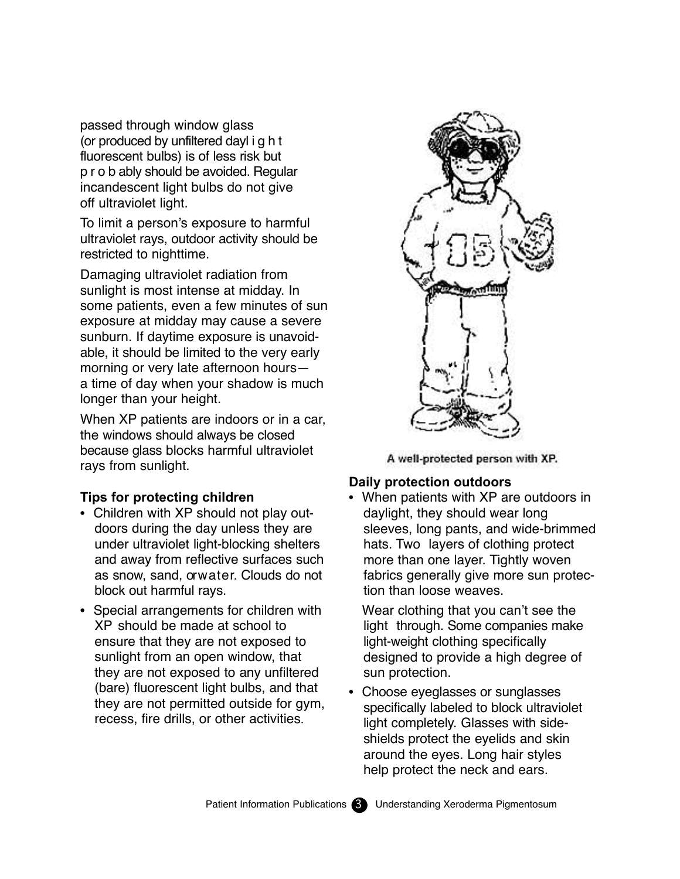passed through window glass (or produced by unfiltered dayl i g h t fluorescent bulbs) is of less risk but p r o b ably should be avoided. Regular incandescent light bulbs do not give off ultraviolet light.

To limit a person's exposure to harmful ultraviolet rays, outdoor activity should be restricted to nighttime.

Damaging ultraviolet radiation from sunlight is most intense at midday. In some patients, even a few minutes of sun exposure at midday may cause a severe sunburn. If daytime exposure is unavoidable, it should be limited to the very early morning or very late afternoon hours a time of day when your shadow is much longer than your height.

When XP patients are indoors or in a car, the windows should always be closed because glass blocks harmful ultraviolet rays from sunlight.

#### **Tips for protecting children**

- Children with XP should not play outdoors during the day unless they are under ultraviolet light-blocking shelters and away from reflective surfaces such as snow, sand, orwater. Clouds do not block out harmful rays.
- Special arrangements for children with XP should be made at school to ensure that they are not exposed to sunlight from an open window, that they are not exposed to any unfiltered (bare) fluorescent light bulbs, and that they are not permitted outside for gym, recess, fire drills, or other activities.



A well-protected person with XP.

#### **Daily protection outdoors**

• When patients with XP are outdoors in daylight, they should wear long sleeves, long pants, and wide-brimmed hats. Two layers of clothing protect more than one layer. Tightly woven fabrics generally give more sun protection than loose weaves.

Wear clothing that you can't see the light through. Some companies make light-weight clothing specifically designed to provide a high degree of sun protection.

• Choose eyeglasses or sunglasses specifically labeled to block ultraviolet light completely. Glasses with sideshields protect the eyelids and skin around the eyes. Long hair styles help protect the neck and ears.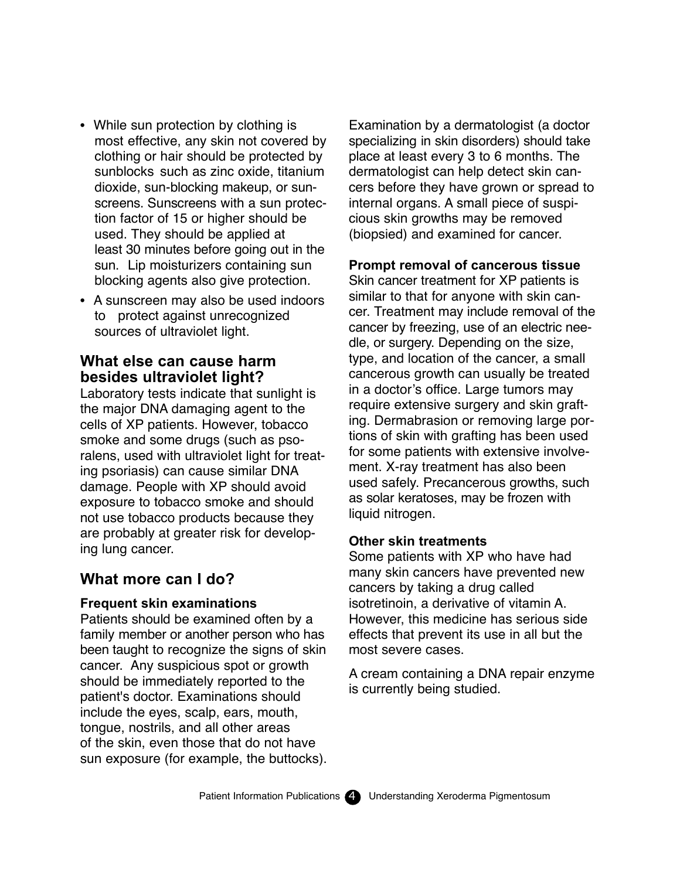- While sun protection by clothing is most effective, any skin not covered by clothing or hair should be protected by sunblocks such as zinc oxide, titanium dioxide, sun-blocking makeup, or sunscreens. Sunscreens with a sun protection factor of 15 or higher should be used. They should be applied at least 30 minutes before going out in the sun. Lip moisturizers containing sun blocking agents also give protection.
- A sunscreen may also be used indoors to protect against unrecognized sources of ultraviolet light.

# **What else can cause harm besides ultraviolet light?**

Laboratory tests indicate that sunlight is the major DNA damaging agent to the cells of XP patients. However, tobacco smoke and some drugs (such as psoralens, used with ultraviolet light for treating psoriasis) can cause similar DNA damage. People with XP should avoid exposure to tobacco smoke and should not use tobacco products because they are probably at greater risk for developing lung cancer.

# **What more can I do?**

#### **Frequent skin examinations**

Patients should be examined often by a family member or another person who has been taught to recognize the signs of skin cancer. Any suspicious spot or growth should be immediately reported to the patient's doctor. Examinations should include the eyes, scalp, ears, mouth, tongue, nostrils, and all other areas of the skin, even those that do not have sun exposure (for example, the buttocks). Examination by a dermatologist (a doctor specializing in skin disorders) should take place at least every 3 to 6 months. The dermatologist can help detect skin cancers before they have grown or spread to internal organs. A small piece of suspicious skin growths may be removed (biopsied) and examined for cancer.

#### **Prompt removal of cancerous tissue**

Skin cancer treatment for XP patients is similar to that for anyone with skin cancer. Treatment may include removal of the cancer by freezing, use of an electric needle, or surgery. Depending on the size, type, and location of the cancer, a small cancerous growth can usually be treated in a doctor's office. Large tumors may require extensive surgery and skin grafting. Dermabrasion or removing large portions of skin with grafting has been used for some patients with extensive involvement. X-ray treatment has also been used safely. Precancerous growths, such as solar keratoses, may be frozen with liquid nitrogen.

#### **Other skin treatments**

Some patients with XP who have had many skin cancers have prevented new cancers by taking a drug called isotretinoin, a derivative of vitamin A. However, this medicine has serious side effects that prevent its use in all but the most severe cases.

A cream containing a DNA repair enzyme is currently being studied.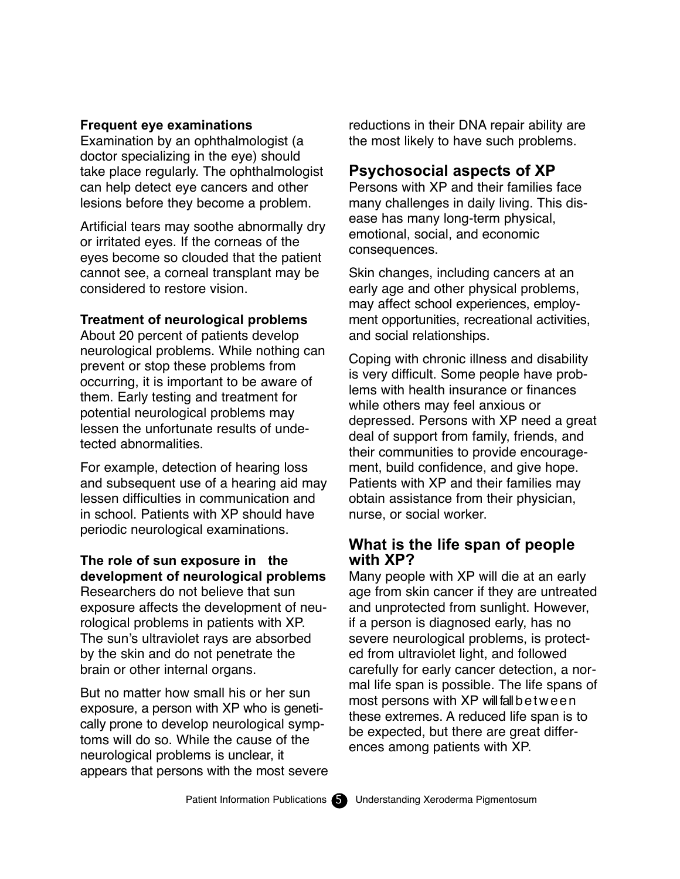#### **Frequent eye examinations**

Examination by an ophthalmologist (a doctor specializing in the eye) should take place regularly. The ophthalmologist can help detect eye cancers and other lesions before they become a problem.

Artificial tears may soothe abnormally dry or irritated eyes. If the corneas of the eyes become so clouded that the patient cannot see, a corneal transplant may be considered to restore vision.

#### **Treatment of neurological problems**

About 20 percent of patients develop neurological problems. While nothing can prevent or stop these problems from occurring, it is important to be aware of them. Early testing and treatment for potential neurological problems may lessen the unfortunate results of undetected abnormalities.

For example, detection of hearing loss and subsequent use of a hearing aid may lessen difficulties in communication and in school. Patients with XP should have periodic neurological examinations.

#### **The role of sun exposure in the development of neurological problems**

Researchers do not believe that sun exposure affects the development of neurological problems in patients with XP. The sun's ultraviolet rays are absorbed by the skin and do not penetrate the brain or other internal organs.

But no matter how small his or her sun exposure, a person with XP who is genetically prone to develop neurological symptoms will do so. While the cause of the neurological problems is unclear, it appears that persons with the most severe reductions in their DNA repair ability are the most likely to have such problems.

# **Psychosocial aspects of XP**

Persons with XP and their families face many challenges in daily living. This disease has many long-term physical, emotional, social, and economic consequences.

Skin changes, including cancers at an early age and other physical problems, may affect school experiences, employment opportunities, recreational activities, and social relationships.

Coping with chronic illness and disability is very difficult. Some people have problems with health insurance or finances while others may feel anxious or depressed. Persons with XP need a great deal of support from family, friends, and their communities to provide encouragement, build confidence, and give hope. Patients with XP and their families may obtain assistance from their physician, nurse, or social worker.

# **What is the life span of people with XP?**

Many people with XP will die at an early age from skin cancer if they are untreated and unprotected from sunlight. However, if a person is diagnosed early, has no severe neurological problems, is protected from ultraviolet light, and followed carefully for early cancer detection, a normal life span is possible. The life spans of most persons with XP will fall b e t w e e n these extremes. A reduced life span is to be expected, but there are great differences among patients with XP.

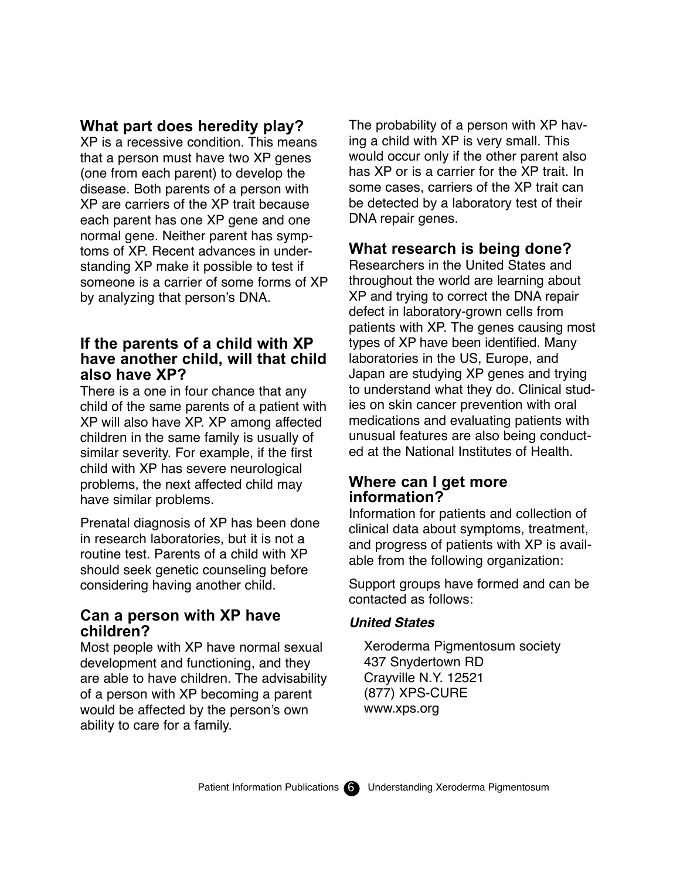# **What part does heredity play?**

XP is a recessive condition. This means that a person must have two XP genes (one from each parent) to develop the disease. Both parents of a person with XP are carriers of the XP trait because each parent has one XP gene and one normal gene. Neither parent has symptoms of XP. Recent advances in understanding XP make it possible to test if someone is a carrier of some forms of XP by analyzing that person's DNA.

## **If the parents of a child with XP have another child, will that child also have XP?**

There is a one in four chance that any child of the same parents of a patient with XP will also have XP. XP among affected children in the same family is usually of similar severity. For example, if the first child with XP has severe neurological problems, the next affected child may have similar problems.

Prenatal diagnosis of XP has been done in research laboratories, but it is not a routine test. Parents of a child with XP should seek genetic counseling before considering having another child.

## **Can a person with XP have children?**

Most people with XP have normal sexual development and functioning, and they are able to have children. The advisability of a person with XP becoming a parent would be affected by the person's own ability to care for a family.

The probability of a person with XP having a child with XP is very small. This would occur only if the other parent also has XP or is a carrier for the XP trait. In some cases, carriers of the XP trait can be detected by a laboratory test of their DNA repair genes.

# **What research is being done?**

Researchers in the United States and throughout the world are learning about XP and trying to correct the DNA repair defect in laboratory-grown cells from patients with XP. The genes causing most types of XP have been identified. Many laboratories in the US, Europe, and Japan are studying XP genes and trying to understand what they do. Clinical studies on skin cancer prevention with oral medications and evaluating patients with unusual features are also being conducted at the National Institutes of Health.

# **Where can I get more information?**

Information for patients and collection of clinical data about symptoms, treatment, and progress of patients with XP is available from the following organization:

Support groups have formed and can be contacted as follows:

#### **United States**

Xeroderma Pigmentosum society 437 Snydertown RD Crayville N.Y. 12521 (877) XPS-CURE www.xps.org